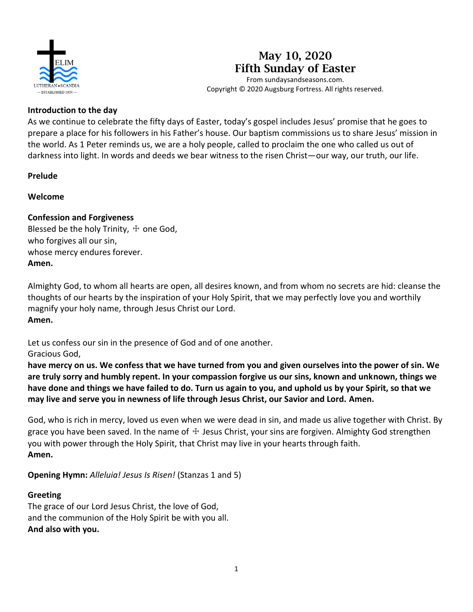

# **May 10, 2020 Fifth Sunday of Easter**

From sundaysandseasons.com. Copyright © 2020 Augsburg Fortress. All rights reserved.

### **Introduction to the day**

As we continue to celebrate the fifty days of Easter, today's gospel includes Jesus' promise that he goes to prepare a place for his followers in his Father's house. Our baptism commissions us to share Jesus' mission in the world. As 1 Peter reminds us, we are a holy people, called to proclaim the one who called us out of darkness into light. In words and deeds we bear witness to the risen Christ—our way, our truth, our life.

### **Prelude**

**Welcome**

# **Confession and Forgiveness**

Blessed be the holy Trinity,  $\pm$  one God, who forgives all our sin, whose mercy endures forever. **Amen.**

Almighty God, to whom all hearts are open, all desires known, and from whom no secrets are hid: cleanse the thoughts of our hearts by the inspiration of your Holy Spirit, that we may perfectly love you and worthily magnify your holy name, through Jesus Christ our Lord. **Amen.**

Let us confess our sin in the presence of God and of one another. Gracious God,

**have mercy on us. We confess that we have turned from you and given ourselves into the power of sin. We are truly sorry and humbly repent. In your compassion forgive us our sins, known and unknown, things we have done and things we have failed to do. Turn us again to you, and uphold us by your Spirit, so that we may live and serve you in newness of life through Jesus Christ, our Savior and Lord. Amen.**

God, who is rich in mercy, loved us even when we were dead in sin, and made us alive together with Christ. By grace you have been saved. In the name of  $\pm$  Jesus Christ, your sins are forgiven. Almighty God strengthen you with power through the Holy Spirit, that Christ may live in your hearts through faith. **Amen.**

**Opening Hymn:** *Alleluia! Jesus Is Risen!* (Stanzas 1 and 5)

# **Greeting**

The grace of our Lord Jesus Christ, the love of God, and the communion of the Holy Spirit be with you all. **And also with you.**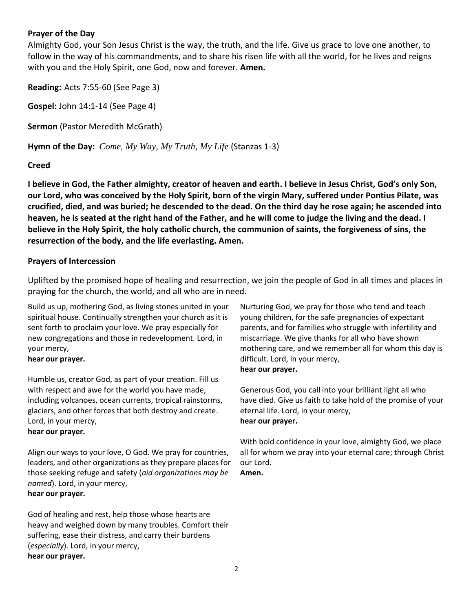## **Prayer of the Day**

Almighty God, your Son Jesus Christ is the way, the truth, and the life. Give us grace to love one another, to follow in the way of his commandments, and to share his risen life with all the world, for he lives and reigns with you and the Holy Spirit, one God, now and forever. **Amen.**

**Reading:** Acts 7:55-60 (See Page 3)

**Gospel:** John 14:1-14 (See Page 4)

**Sermon** (Pastor Meredith McGrath)

**Hymn of the Day:** *Come, My Way, My Truth, My Life* (Stanzas 1-3)

### **Creed**

**I believe in God, the Father almighty, creator of heaven and earth. I believe in Jesus Christ, God's only Son, our Lord, who was conceived by the Holy Spirit, born of the virgin Mary, suffered under Pontius Pilate, was crucified, died, and was buried; he descended to the dead. On the third day he rose again; he ascended into heaven, he is seated at the right hand of the Father, and he will come to judge the living and the dead. I believe in the Holy Spirit, the holy catholic church, the communion of saints, the forgiveness of sins, the resurrection of the body, and the life everlasting. Amen.**

### **Prayers of Intercession**

Uplifted by the promised hope of healing and resurrection, we join the people of God in all times and places in praying for the church, the world, and all who are in need.

Build us up, mothering God, as living stones united in your spiritual house. Continually strengthen your church as it is sent forth to proclaim your love. We pray especially for new congregations and those in redevelopment. Lord, in your mercy,

### **hear our prayer.**

Humble us, creator God, as part of your creation. Fill us with respect and awe for the world you have made, including volcanoes, ocean currents, tropical rainstorms, glaciers, and other forces that both destroy and create. Lord, in your mercy,

# **hear our prayer.**

Align our ways to your love, O God. We pray for countries, leaders, and other organizations as they prepare places for those seeking refuge and safety (*aid organizations may be named*). Lord, in your mercy, **hear our prayer.**

God of healing and rest, help those whose hearts are heavy and weighed down by many troubles. Comfort their suffering, ease their distress, and carry their burdens (*especially*). Lord, in your mercy, **hear our prayer.**

Nurturing God, we pray for those who tend and teach young children, for the safe pregnancies of expectant parents, and for families who struggle with infertility and miscarriage. We give thanks for all who have shown mothering care, and we remember all for whom this day is difficult. Lord, in your mercy,

**hear our prayer.**

Generous God, you call into your brilliant light all who have died. Give us faith to take hold of the promise of your eternal life. Lord, in your mercy, **hear our prayer.**

With bold confidence in your love, almighty God, we place all for whom we pray into your eternal care; through Christ our Lord. **Amen.**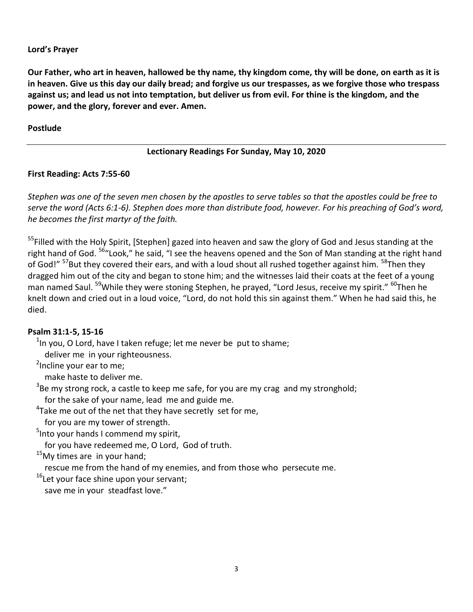#### **Lord's Prayer**

**Our Father, who art in heaven, hallowed be thy name, thy kingdom come, thy will be done, on earth as it is in heaven. Give us this day our daily bread; and forgive us our trespasses, as we forgive those who trespass against us; and lead us not into temptation, but deliver us from evil. For thine is the kingdom, and the power, and the glory, forever and ever. Amen.**

#### **Postlude**

## **Lectionary Readings For Sunday, May 10, 2020**

### **First Reading: Acts 7:55-60**

*Stephen was one of the seven men chosen by the apostles to serve tables so that the apostles could be free to serve the word (Acts 6:1-6). Stephen does more than distribute food, however. For his preaching of God's word, he becomes the first martyr of the faith.*

<sup>55</sup>Filled with the Holy Spirit, [Stephen] gazed into heaven and saw the glory of God and Jesus standing at the right hand of God. <sup>56</sup>"Look," he said, "I see the heavens opened and the Son of Man standing at the right hand of God!" <sup>57</sup>But they covered their ears, and with a loud shout all rushed together against him. <sup>58</sup>Then they dragged him out of the city and began to stone him; and the witnesses laid their coats at the feet of a young man named Saul. <sup>59</sup>While they were stoning Stephen, he prayed, "Lord Jesus, receive my spirit." <sup>60</sup>Then he knelt down and cried out in a loud voice, "Lord, do not hold this sin against them." When he had said this, he died.

### **Psalm 31:1-5, 15-16**

 $1$ In you, O Lord, have I taken refuge; let me never be put to shame;

deliver me in your righteousness.

<sup>2</sup>Incline your ear to me;

make haste to deliver me.

 $3$ Be my strong rock, a castle to keep me safe, for you are my crag and my stronghold;

for the sake of your name, lead me and guide me.

 $4$ Take me out of the net that they have secretly set for me,

for you are my tower of strength.

<sup>5</sup>Into your hands I commend my spirit,

for you have redeemed me, O Lord, God of truth.

 $15$ My times are in your hand;

rescue me from the hand of my enemies, and from those who persecute me.

<sup>16</sup>Let your face shine upon your servant;

save me in your steadfast love."